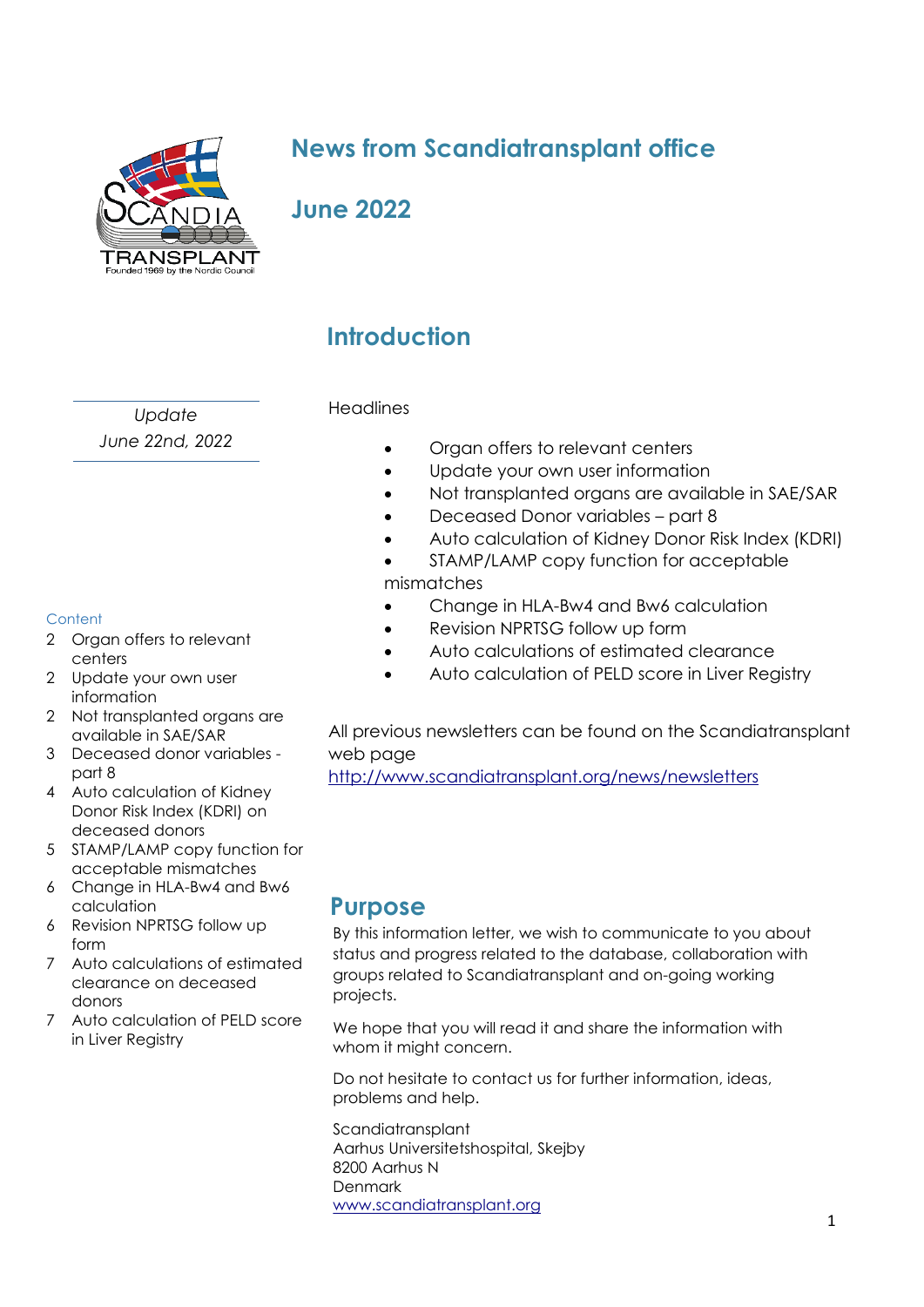

# **News from Scandiatransplant office**

# **June 2022**

*Update June 22nd, 2022*

#### **Content**

- 2 Organ offers to relevant centers
- 2 Update your own user information
- 2 Not transplanted organs are available in SAE/SAR
- 3 Deceased donor variables part 8
- 4 Auto calculation of Kidney Donor Risk Index (KDRI) on deceased donors
- 5 STAMP/LAMP copy function for acceptable mismatches
- 6 Change in HLA-Bw4 and Bw6 calculation
- 6 Revision NPRTSG follow up form
- 7 Auto calculations of estimated clearance on deceased donors
- 7 Auto calculation of PELD score in Liver Registry

# **Introduction**

#### **Headlines**

- Organ offers to relevant centers
- Update your own user information
- Not transplanted organs are available in SAE/SAR
- Deceased Donor variables part 8
- Auto calculation of Kidney Donor Risk Index (KDRI)
- STAMP/LAMP copy function for acceptable mismatches
- Change in HLA-Bw4 and Bw6 calculation
- Revision NPRTSG follow up form
- Auto calculations of estimated clearance
- Auto calculation of PELD score in Liver Registry

All previous newsletters can be found on the Scandiatransplant web page

<http://www.scandiatransplant.org/news/newsletters>

### **Purpose**

By this information letter, we wish to communicate to you about status and progress related to the database, collaboration with groups related to Scandiatransplant and on-going working projects.

We hope that you will read it and share the information with whom it might concern.

Do not hesitate to contact us for further information, ideas, problems and help.

**Scandiatransplant** Aarhus Universitetshospital, Skejby 8200 Aarhus N Denmark [www.scandiatransplant.org](http://www.scandiatransplant.org/)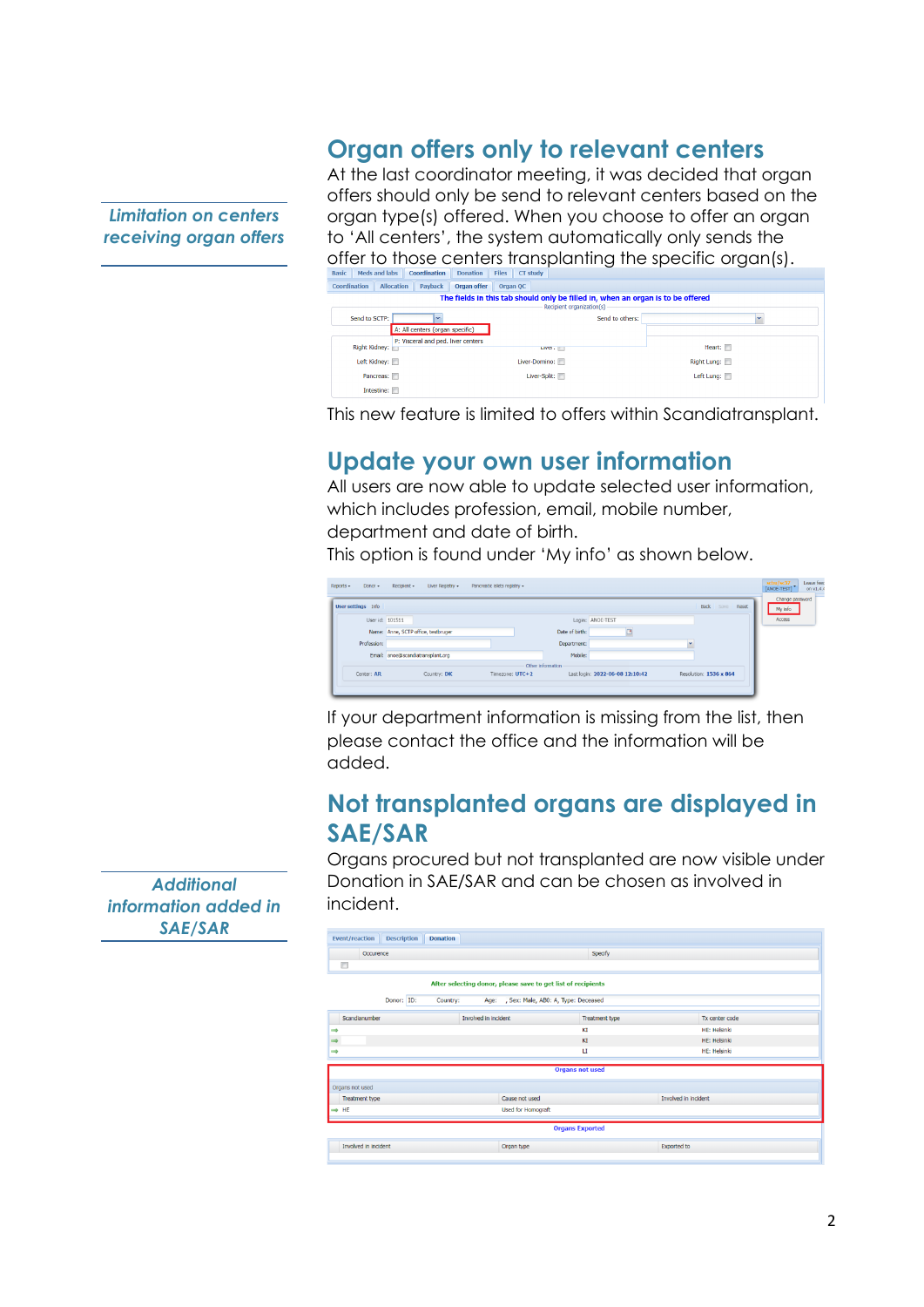### **Organ offers only to relevant centers**

*Limitation on centers receiving organ offers* At the last coordinator meeting, it was decided that organ offers should only be send to relevant centers based on the organ type(s) offered. When you choose to offer an organ to 'All centers', the system automatically only sends the offer to those centers transplanting the specific organ(s).

| Coordination  | <b>Allocation</b>                                   | <b>Payback</b> | <b>Organ offer</b> | Organ QC |                                                                                                              |             |  |
|---------------|-----------------------------------------------------|----------------|--------------------|----------|--------------------------------------------------------------------------------------------------------------|-------------|--|
|               |                                                     |                |                    |          | The fields in this tab should only be filled in, when an organ is to be offered<br>Recipient organization(s) |             |  |
| Send to SCTP: |                                                     | $\checkmark$   |                    |          | Send to others:                                                                                              |             |  |
|               | A: All centers (organ specific)                     |                |                    |          |                                                                                                              |             |  |
|               | P: Visceral and ped. liver centers<br>Right Kidney: |                |                    |          |                                                                                                              | Heart:      |  |
|               |                                                     |                |                    |          | Livel .                                                                                                      |             |  |
|               | Left Kidney:                                        |                |                    |          | Liver-Domino:                                                                                                | Right Lung: |  |
|               | Pancreas:                                           |                |                    |          | Liver-Split:                                                                                                 | Left Lung:  |  |
|               | Intestine:                                          |                |                    |          |                                                                                                              |             |  |

This new feature is limited to offers within Scandiatransplant.

## **Update your own user information**

All users are now able to update selected user information, which includes profession, email, mobile number, department and date of birth.

This option is found under 'My info' as shown below.

| User settings Info |                                     |                   |                |                                 | <b>Back</b> Save Reset | [ANOE-TEST]<br>on v1.4.4<br>Change password<br>My info |
|--------------------|-------------------------------------|-------------------|----------------|---------------------------------|------------------------|--------------------------------------------------------|
| User id: 101511    |                                     |                   |                | Login: ANOE-TEST                |                        | Access                                                 |
|                    | Name: Anne, SCTP office, testbruger |                   | Date of birth: |                                 |                        |                                                        |
| Profession:        |                                     |                   | Department:    |                                 |                        |                                                        |
|                    | Email: anoe@scandiatransplant.org   |                   | Mobile:        |                                 |                        |                                                        |
|                    |                                     | Other information |                |                                 |                        |                                                        |
| Center: AR         | Country: DK                         | Timezone: UTC+2   |                | Last login: 2022-06-08 12:10:42 | Resolution: 1536 x 864 |                                                        |

If your department information is missing from the list, then please contact the office and the information will be added.

### **Not transplanted organs are displayed in SAE/SAR**

Organs procured but not transplanted are now visible under Donation in SAE/SAR and can be chosen as involved in incident.

| <b>Description</b><br><b>Event/reaction</b><br><b>Donation</b> |                                     |                      |                |  |  |  |  |  |
|----------------------------------------------------------------|-------------------------------------|----------------------|----------------|--|--|--|--|--|
| Occurence                                                      |                                     | Specify              |                |  |  |  |  |  |
| n                                                              |                                     |                      |                |  |  |  |  |  |
| After selecting donor, please save to get list of recipients   |                                     |                      |                |  |  |  |  |  |
| Donor: ID:<br>Country:<br>Age:                                 | , Sex: Male, AB0: A, Type: Deceased |                      |                |  |  |  |  |  |
| Scandianumber<br>Involved in incident                          |                                     | Treatment type       | Tx center code |  |  |  |  |  |
| $\implies$                                                     |                                     | ΚI                   | HE: Helsinki   |  |  |  |  |  |
| $\Rightarrow$                                                  |                                     | KI                   | HE: Helsinki   |  |  |  |  |  |
| $\Rightarrow$                                                  |                                     | u                    | HE: Helsinki   |  |  |  |  |  |
|                                                                | <b>Organs not used</b>              |                      |                |  |  |  |  |  |
| Organs not used                                                |                                     |                      |                |  |  |  |  |  |
| Treatment type                                                 | Cause not used                      | Involved in incident |                |  |  |  |  |  |
| $\Rightarrow$ HE                                               | <b>Used for Homograft</b>           |                      |                |  |  |  |  |  |
|                                                                | <b>Organs Exported</b>              |                      |                |  |  |  |  |  |
| Involved in incident                                           | Organ type                          | <b>Exported</b> to   |                |  |  |  |  |  |

*Additional information added in SAE/SAR*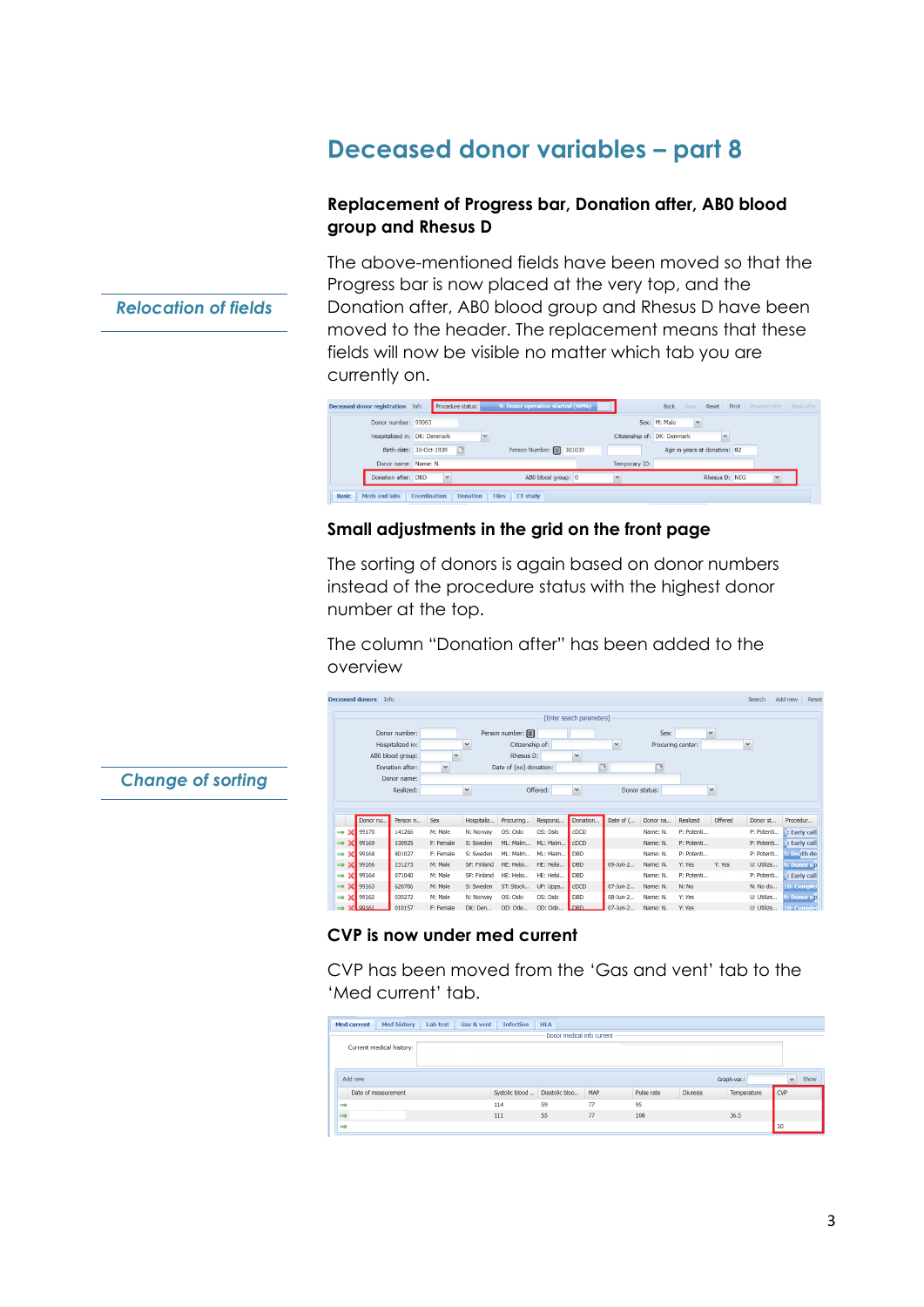# **Deceased donor variables – part 8**

#### **Replacement of Progress bar, Donation after, AB0 blood group and Rhesus D**

The above-mentioned fields have been moved so that the Progress bar is now placed at the very top, and the Donation after, AB0 blood group and Rhesus D have been moved to the header. The replacement means that these fields will now be visible no matter which tab you are currently on.

| <b>Deceased donor registration</b> Info | Procedure status:                                                  | 9: Donor operation started (90%) |                             | <b>Back</b> Save <b>Reset Print</b> Preview offer Send offer |  |  |  |  |  |  |
|-----------------------------------------|--------------------------------------------------------------------|----------------------------------|-----------------------------|--------------------------------------------------------------|--|--|--|--|--|--|
| Donor number: 99063                     |                                                                    |                                  |                             | Sex: M: Male<br>×.                                           |  |  |  |  |  |  |
| Hospitalized in: DK: Denmark            |                                                                    |                                  | Citizenship of: DK: Denmark |                                                              |  |  |  |  |  |  |
|                                         | Birth-date: 30-Oct-1939                                            | Person Number: [11] 301039       |                             | Age in years at donation: 82                                 |  |  |  |  |  |  |
| Donor name: Name: N.                    |                                                                    |                                  | Temporary ID:               |                                                              |  |  |  |  |  |  |
| Donation after: DBD                     | $\overline{\phantom{a}}$                                           | ABO blood group: 0               |                             | Rhesus D: NEG                                                |  |  |  |  |  |  |
| Meds and labs<br><b>Basic</b>           | Coordination<br><b>Donation</b><br><b>CT study</b><br><b>Files</b> |                                  |                             |                                                              |  |  |  |  |  |  |

#### **Small adjustments in the grid on the front page**

The sorting of donors is again based on donor numbers instead of the procedure status with the highest donor number at the top.

The column "Donation after" has been added to the overview

|                      | eceased donors | <b>Info</b> |                  |              |              |                        |           |                           |              |                   |            |              | Search       | Add new<br>Reset      |
|----------------------|----------------|-------------|------------------|--------------|--------------|------------------------|-----------|---------------------------|--------------|-------------------|------------|--------------|--------------|-----------------------|
|                      |                |             |                  |              |              |                        |           | [Enter search parameters] |              |                   |            |              |              |                       |
|                      |                |             | Donor number:    |              |              | Person number: [       |           |                           |              | Sex:              |            | v            |              |                       |
|                      |                |             | Hospitalized in: |              | $\checkmark$ | Citizenship of:        |           |                           | $\checkmark$ | Procuring center: |            |              | $\checkmark$ |                       |
|                      |                |             | ABO blood group: | $\checkmark$ |              | Rhesus D:              |           | $\checkmark$              |              |                   |            |              |              |                       |
|                      |                |             | Donation after:  | $\checkmark$ |              | Date of (no) donation: |           | ⊡                         |              | ⊡                 |            |              |              |                       |
|                      |                |             | Donor name:      |              |              |                        |           |                           |              |                   |            |              |              |                       |
|                      |                |             | Realized:        |              | $\checkmark$ |                        | Offered:  | $\checkmark$              |              | Donor status:     |            | $\checkmark$ |              |                       |
|                      |                |             |                  |              |              |                        |           |                           |              |                   |            |              |              |                       |
|                      |                |             |                  |              |              |                        |           |                           |              |                   |            |              |              |                       |
|                      |                | Donor nu    | Person n         | <b>Sex</b>   | Hospitaliz   | Procuring              | Responsi  | Donation                  | Date of (    | Donor na          | Realized   | Offered      | Donor st     | Procedur              |
| $\rightarrow$ X      | 99170          |             | 141266           | M: Male      | N: Norway    | OS: Oslo               | OS: Oslo  | <b>CDCD</b>               |              | Name: N.          | P: Potenti |              | P: Potenti   | <b>E: Early call</b>  |
| $\rightarrow$ 3      | 99169          |             | 530925           | F: Female    | S: Sweden    | ML: Malm               | ML: Malm  | $c$ DCD                   |              | Name: N.          | P: Potenti |              | P: Potenti   | : Early call          |
| $\rightarrow x$      | 99168          |             | 801027           | F: Female    | S: Sweden    | ML: Malm               | ML: Malm  | <b>DBD</b>                |              | Name: N.          | P: Potenti |              | P: Potenti   | 5: Death de           |
| $\Rightarrow x$      | 99166          |             | 231273           | M: Male      | SF: Finland  | HE: Helsi              | HE: Helsi | <b>DBD</b>                | 09-Jun-2     | Name: N.          | Y: Yes     | Y: Yes       | U: Utilize   | 9: Donor op           |
| $\rightarrow \infty$ | 99164          |             | 071040           | M: Male      | SF: Finland  | HE: Helsi              | HE: Helsi | <b>DBD</b>                |              | Name: N.          | P: Potenti |              | P: Potenti   | <b>il:</b> Early call |
| $\rightarrow \infty$ | 99163          |             | 620706           | M: Male      | S: Sweden    | ST: Stock              | UP: Upps  | <b>CDCD</b>               | 07-Jun-2     | Name: N.          | N: No      |              | N: No do     | 10: Comple            |
| $\rightarrow$ X      | 99162          |             | 030272           | M: Male      | N: Norway    | OS: Oslo               | OS: Oslo  | <b>DBD</b>                | 08-Jun-2     | Name: N.          | Y: Yes     |              | U: Utilize   | 9: Donor op           |
|                      | 99161          |             | 010157           | F: Female    | DK: Den      | OD: Ode                | OD: Ode   | <b>DRD</b>                | 07-Jun-2     | Name: N.          | Y: Yes     |              | U: Utilize   | <b>10: Complet</b>    |

#### **CVP is now under med current**

CVP has been moved from the 'Gas and vent' tab to the 'Med current' tab.

| <b>Med history</b><br><b>Med current</b> | <b>Infection</b><br>Lab test<br>Gas & vent | <b>HLA</b>                 |     |            |                 |             |              |      |
|------------------------------------------|--------------------------------------------|----------------------------|-----|------------|-----------------|-------------|--------------|------|
|                                          |                                            | Donor medical info current |     |            |                 |             |              |      |
| Current medical history:                 |                                            |                            |     |            |                 |             |              |      |
|                                          |                                            |                            |     |            |                 |             |              |      |
|                                          |                                            |                            |     |            |                 |             |              |      |
| Add new                                  |                                            |                            |     |            |                 | Graph-var.: | $\mathbf{v}$ | Show |
| Date of measurement                      | Systolic blood                             | Diastolic bloo             | MAP | Pulse rate | <b>Diuresis</b> | Temperature | <b>CVP</b>   |      |
|                                          | 114                                        | 59                         | 77  | 95         |                 |             |              |      |
|                                          | 111                                        | 55                         | 77  | 108        |                 | 36.5        |              |      |
|                                          |                                            |                            |     |            |                 |             | 10           |      |

*Relocation of fields*

*Change of sorting*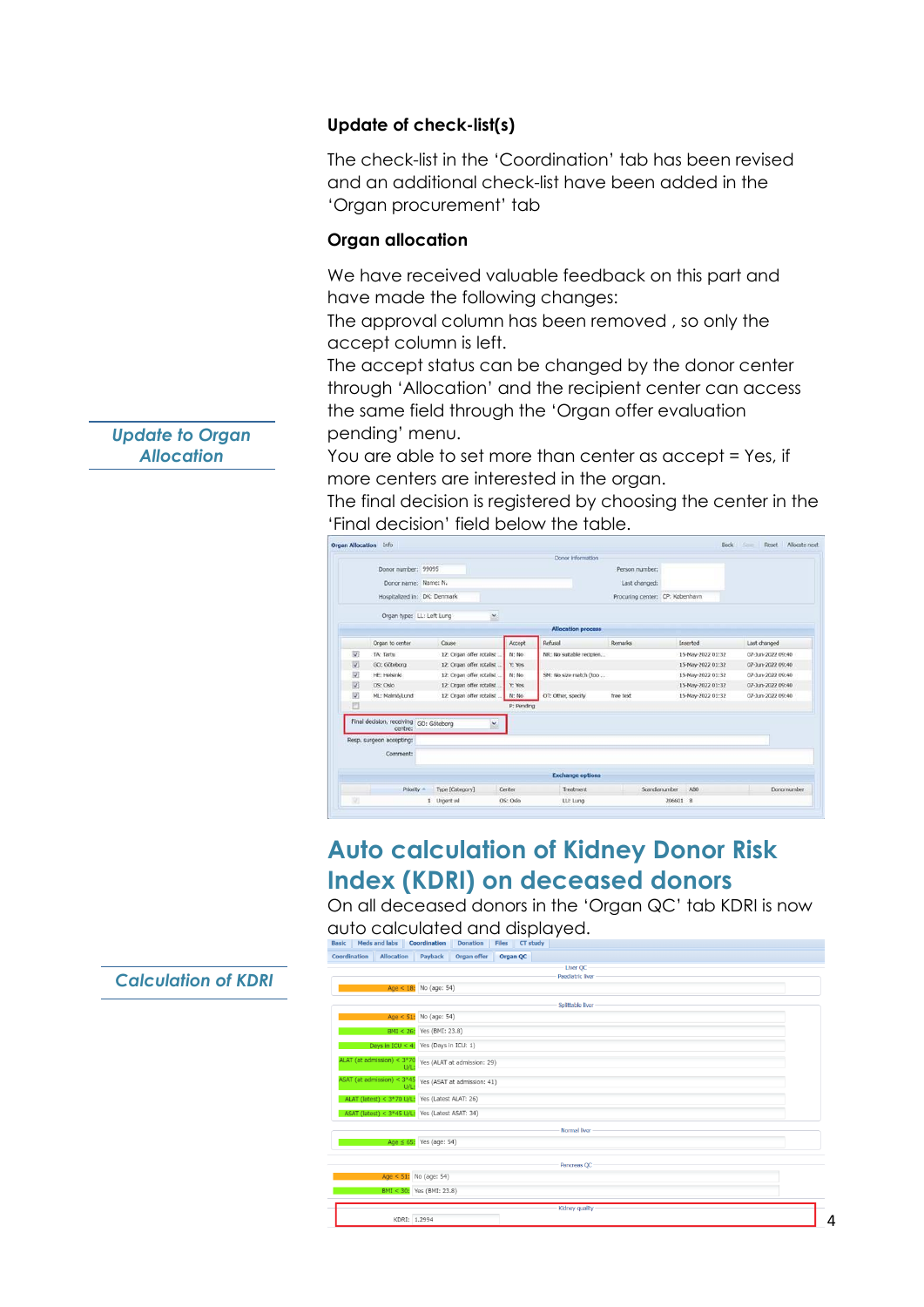#### **Update of check-list(s)**

The check-list in the 'Coordination' tab has been revised and an additional check-list have been added in the 'Organ procurement' tab

#### **Organ allocation**

We have received valuable feedback on this part and have made the following changes:

The approval column has been removed , so only the accept column is left.

The accept status can be changed by the donor center through 'Allocation' and the recipient center can access the same field through the 'Organ offer evaluation pending' menu.

You are able to set more than center as accept = Yes, if more centers are interested in the organ.

The final decision is registered by choosing the center in the 'Final decision' field below the table.

|    | <b>Organ Allocation</b> Info           |                           |            |                           |                                 |               | Back              | Court 1<br>Reset Allocate next |
|----|----------------------------------------|---------------------------|------------|---------------------------|---------------------------------|---------------|-------------------|--------------------------------|
|    |                                        |                           |            | Donor information         |                                 |               |                   |                                |
|    | Donor number: 99095                    |                           |            |                           | Person number:                  |               |                   |                                |
|    | Donor name: Name: N.                   |                           |            |                           | Last changed:                   |               |                   |                                |
|    | Hospitalized in: DK: Denmark           |                           |            |                           | Procuring center: CP: København |               |                   |                                |
|    |                                        |                           |            |                           |                                 |               |                   |                                |
|    | Organ type: LL: Left Lung              | ×                         |            |                           |                                 |               |                   |                                |
|    |                                        |                           |            | <b>Allocation process</b> |                                 |               |                   |                                |
|    | Organ to center                        | Cause                     | Accept     | Refusal                   | Remarks                         |               | Inserted          | Last changed                   |
| V  | TA: Tartu                              | 12: Organ offer rotalist  | N: No      | NR: No suitable recipien  |                                 |               | 15-May-2022 01:32 | 07-Jun-2022 09:40              |
| Ū. | GO; Göteborg                           | 12: Organ offer rotalist  | Y: Yes     |                           |                                 |               | 15-May-2022 01:32 | 07-Jun-2022 09:40              |
| 讱  | HE: Helsinki                           | 12: Organ offer rotalist  | N: No.     | SM: No size match (too    |                                 |               | 15-May-2022 01:32 | 07-Jun-2022 09:40              |
| 韧  | OS: Oslo                               | 12: Organ offer rotalist. | Y: Yes     |                           |                                 |               | 15-May-2022 01:32 | 07-Jun-2022 09:40              |
| 図  | ML: Malmö/Lund                         | 12: Organ offer rotalist  | N: No      | OT: Other, specify        | free text                       |               | 15-May-2022 01:32 | 07-Jun-2022 09:40              |
| E  |                                        |                           | P: Pending |                           |                                 |               |                   |                                |
|    | Final decision, receiving GO: Göteborg | v.                        |            |                           |                                 |               |                   |                                |
|    | centre:                                |                           |            |                           |                                 |               |                   |                                |
|    | Resp. surgeon accepting:               |                           |            |                           |                                 |               |                   |                                |
|    | Comment:                               |                           |            |                           |                                 |               |                   |                                |
|    |                                        |                           |            |                           |                                 |               |                   |                                |
|    |                                        |                           |            | <b>Exchange options</b>   |                                 |               |                   |                                |
|    | Priority -                             | Type [Category]           | Center     | Treatment                 |                                 | Scandianumber | ARO.              | Donornumber                    |
| 38 |                                        | 1 Urgent wl               | OS: Oslo   | LU: Lung                  |                                 | 206601 B      |                   |                                |

### **Auto calculation of Kidney Donor Risk Index (KDRI) on deceased donors**

On all deceased donors in the 'Organ QC' tab KDRI is now auto calculated and displayed.

| Coordination                         | <b>Allocation</b>                               | Payback                       | Organ offer                 | Organ QC |                         |
|--------------------------------------|-------------------------------------------------|-------------------------------|-----------------------------|----------|-------------------------|
|                                      |                                                 |                               |                             |          | Liver QC                |
|                                      |                                                 |                               |                             |          | <b>Paediatric liver</b> |
|                                      |                                                 | Age < $18:$ No (age: 54)      |                             |          |                         |
|                                      |                                                 |                               |                             |          | Splittable liver        |
|                                      |                                                 | Age < $51:$ No (age: 54)      |                             |          |                         |
|                                      |                                                 | BMI < 26: Yes (BMI: 23.8)     |                             |          |                         |
|                                      | Days in $ICU < 4$ : Yes (Days in ICU: 1)        |                               |                             |          |                         |
| ALAT (at admission) < $3*70$<br>U/L: |                                                 |                               | Yes (ALAT at admission: 29) |          |                         |
|                                      | ASAT (at admission) < $3*45$<br>:U/L            |                               | Yes (ASAT at admission: 41) |          |                         |
|                                      | ALAT (latest) < 3*70 U/L:                       | Yes (Latest ALAT: 26)         |                             |          |                         |
|                                      | ASAT (latest) < 3*45 U/L: Yes (Latest ASAT: 34) |                               |                             |          |                         |
|                                      |                                                 |                               |                             |          | Normal liver            |
|                                      |                                                 | Age $\leq 65$ : Yes (age: 54) |                             |          |                         |
|                                      |                                                 |                               |                             |          | Pancreas QC             |
|                                      |                                                 | Age < 51: No (age: 54)        |                             |          |                         |
|                                      |                                                 | BMI < 30: Yes (BMI: 23.8)     |                             |          |                         |
|                                      |                                                 |                               |                             |          | Kidney quality          |
|                                      | KDRI: 1.2994                                    |                               |                             |          |                         |

*Update to Organ Allocation*

#### *Calculation of KDRI*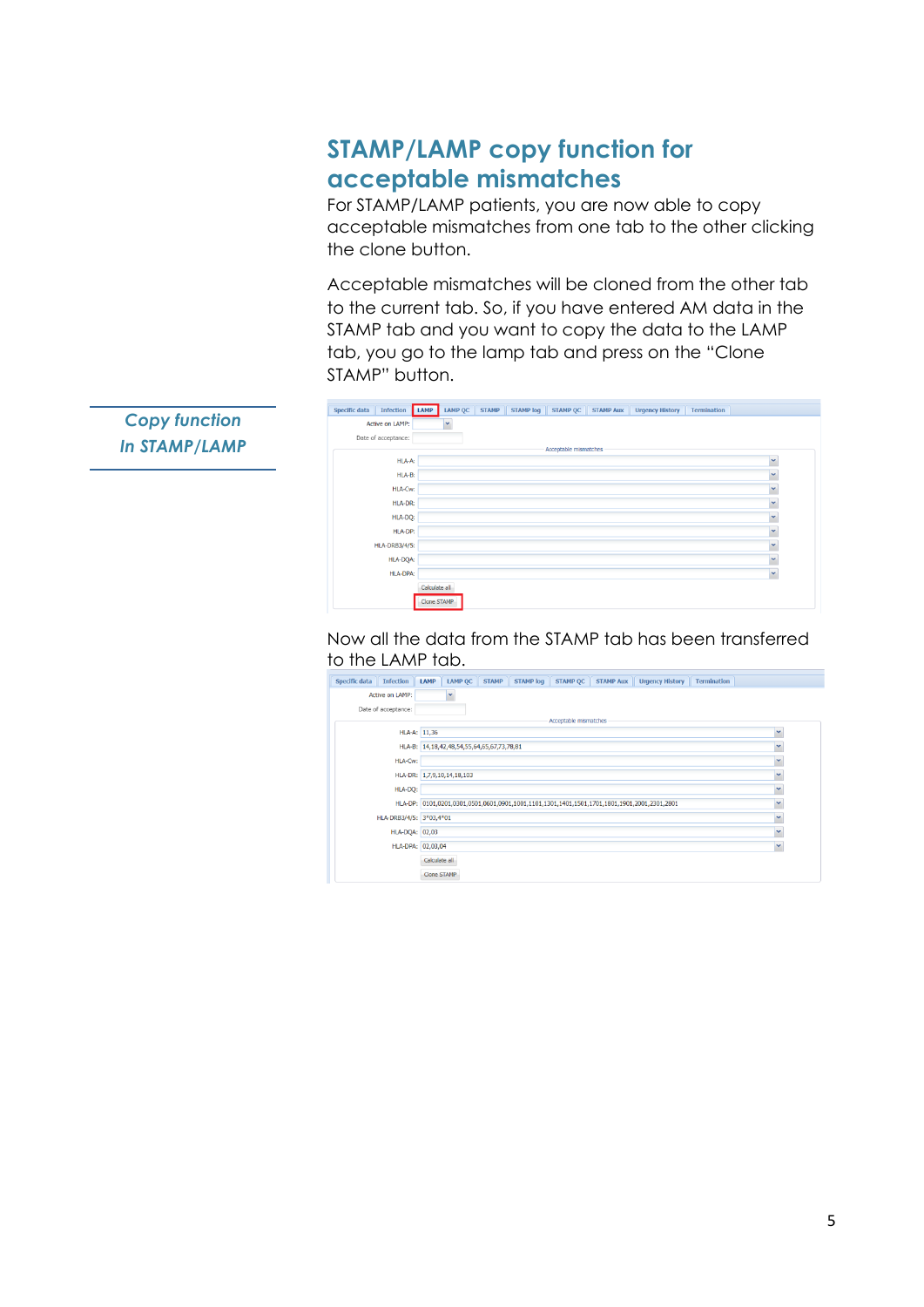# **STAMP/LAMP copy function for acceptable mismatches**

For STAMP/LAMP patients, you are now able to copy acceptable mismatches from one tab to the other clicking the clone button.

Acceptable mismatches will be cloned from the other tab to the current tab. So, if you have entered AM data in the STAMP tab and you want to copy the data to the LAMP tab, you go to the lamp tab and press on the "Clone STAMP" button.

| <b>Specific data</b> | Infection           | LAMP          | <b>LAMP QC</b> | <b>STAMP</b> | <b>STAMP</b> log | <b>STAMP QC</b>       | <b>STAMP AUX</b> | <b>Urgency History</b> | Termination |              |
|----------------------|---------------------|---------------|----------------|--------------|------------------|-----------------------|------------------|------------------------|-------------|--------------|
|                      | Active on LAMP:     |               | v              |              |                  |                       |                  |                        |             |              |
|                      | Date of acceptance: |               |                |              |                  |                       |                  |                        |             |              |
|                      |                     |               |                |              |                  | Acceptable mismatches |                  |                        |             |              |
|                      | HLA-A:              |               |                |              |                  |                       |                  |                        |             | $\checkmark$ |
|                      | HLA-B:              |               |                |              |                  |                       |                  |                        |             | $\checkmark$ |
|                      | HLA-Cw:             |               |                |              |                  |                       |                  |                        |             | $\checkmark$ |
|                      | HLA-DR:             |               |                |              |                  |                       |                  |                        |             | $\checkmark$ |
|                      | HLA-DQ:             |               |                |              |                  |                       |                  |                        |             | $\checkmark$ |
|                      | HLA-DP:             |               |                |              |                  |                       |                  |                        |             | $\checkmark$ |
|                      | HLA-DRB3/4/5:       |               |                |              |                  |                       |                  |                        |             | v            |
|                      | HLA-DQA:            |               |                |              |                  |                       |                  |                        |             | $\checkmark$ |
|                      | HLA-DPA:            |               |                |              |                  |                       |                  |                        |             | $\checkmark$ |
|                      |                     | Calculate all |                |              |                  |                       |                  |                        |             |              |
|                      |                     | Clone STAMP   |                |              |                  |                       |                  |                        |             |              |

Now all the data from the STAMP tab has been transferred to the LAMP tab.

| <b>Specific data</b> | <b>Infection</b>        | LAMP                                       | <b>LAMP QC</b> |  |  |  |  | STAMP STAMP log STAMP QC STAMP Aux Urgency History                                           | <b>Termination</b> |              |
|----------------------|-------------------------|--------------------------------------------|----------------|--|--|--|--|----------------------------------------------------------------------------------------------|--------------------|--------------|
|                      | Active on LAMP:         |                                            |                |  |  |  |  |                                                                                              |                    |              |
|                      | Date of acceptance:     |                                            |                |  |  |  |  |                                                                                              |                    |              |
|                      | Acceptable mismatches   |                                            |                |  |  |  |  |                                                                                              |                    |              |
|                      |                         | HLA-A: 11,36                               |                |  |  |  |  |                                                                                              |                    | $\checkmark$ |
|                      |                         | HLA-B: 14,18,42,48,54,55,64,65,67,73,78,81 |                |  |  |  |  |                                                                                              |                    | $\checkmark$ |
|                      | <b>HLA-Cw:</b>          |                                            |                |  |  |  |  |                                                                                              |                    | v            |
|                      |                         | HLA-DR: 1,7,9,10,14,18,103                 |                |  |  |  |  |                                                                                              |                    | $\checkmark$ |
|                      | HLA-DQ:                 |                                            |                |  |  |  |  |                                                                                              |                    | $\checkmark$ |
|                      |                         |                                            |                |  |  |  |  | HLA-DP: 0101,0201,0301,0501,0601,0901,1001,1101,1301,1401,1501,1701,1801,1901,2001,2301,2801 |                    | $\checkmark$ |
|                      | HLA-DRB3/4/5: 3*03,4*01 |                                            |                |  |  |  |  |                                                                                              |                    | $\checkmark$ |
|                      | <b>HLA-DQA: 02,03</b>   |                                            |                |  |  |  |  |                                                                                              |                    | $\checkmark$ |
|                      |                         | HLA-DPA: 02,03,04                          |                |  |  |  |  |                                                                                              |                    |              |
|                      |                         | Calculate all                              |                |  |  |  |  |                                                                                              |                    |              |
|                      |                         | <b>Clone STAMP</b>                         |                |  |  |  |  |                                                                                              |                    |              |

*Copy function In STAMP/LAMP*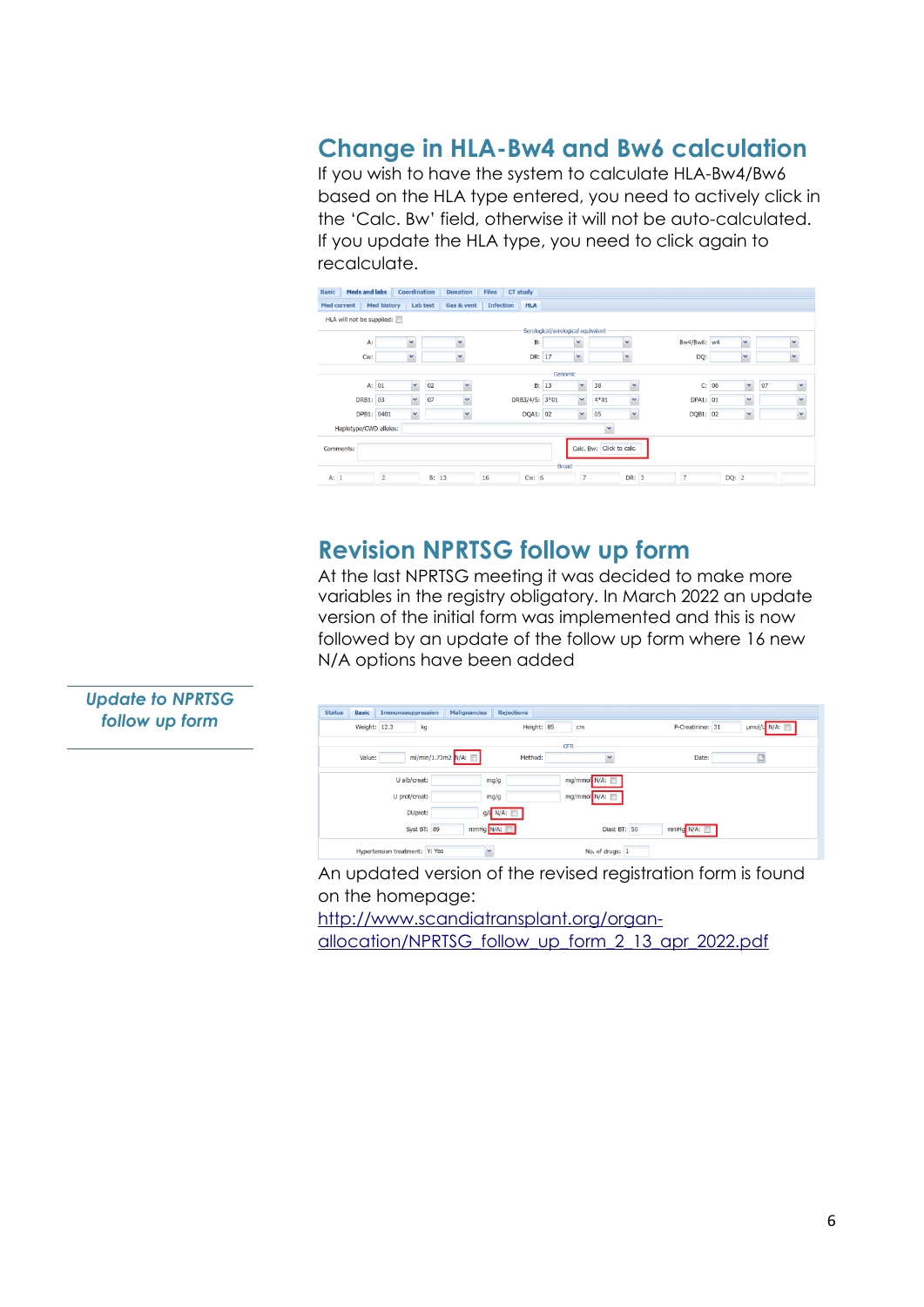### **Change in HLA-Bw4 and Bw6 calculation**

If you wish to have the system to calculate HLA-Bw4/Bw6 based on the HLA type entered, you need to actively click in the 'Calc. Bw' field, otherwise it will not be auto-calculated. If you update the HLA type, you need to click again to recalculate.

| <b>Meds and labs</b><br><b>Basic</b> |                | Coordination |       | <b>Donation</b>      | <b>Files</b>     | CT study       |                                    |                |                          |                      |                |              |                    |              |
|--------------------------------------|----------------|--------------|-------|----------------------|------------------|----------------|------------------------------------|----------------|--------------------------|----------------------|----------------|--------------|--------------------|--------------|
| Med current                          | Med history    | Lab test     |       | Gas & vent           | <b>Infection</b> | <b>HLA</b>     |                                    |                |                          |                      |                |              |                    |              |
| HLA will not be supplied:            |                |              |       |                      |                  |                |                                    |                |                          |                      |                |              |                    |              |
|                                      |                |              |       |                      |                  |                | Serological/serological equivalent |                |                          |                      |                |              |                    |              |
| A:                                   |                |              |       |                      |                  | <b>B:</b>      |                                    |                |                          | $\ddot{\phantom{1}}$ | Bw4/Bw6: w4    | $\checkmark$ |                    |              |
| Cw:                                  |                | v            |       |                      |                  | DR: 17         |                                    | $\checkmark$   |                          | $\checkmark$         | DQ:            | v            |                    |              |
|                                      |                |              |       |                      |                  |                | Genomic                            |                |                          |                      |                |              |                    |              |
| A: 01                                |                | ×            | 02    | $\ddot{\phantom{1}}$ |                  | <b>B:</b> 13   |                                    | v              | 38                       |                      |                | C: 06        | $\checkmark$<br>07 | $\checkmark$ |
| DRB1: 03                             |                | $\checkmark$ | 07    | $\checkmark$         |                  | DRB3/4/5: 3*01 |                                    | $\checkmark$   | 4*01                     |                      | DPA1: 01       |              | $\checkmark$       | $\mathbf{v}$ |
| DPB1: 0401                           |                | ×            |       | v                    |                  | DQA1: 02       |                                    | ×              | 05                       | $\mathbf{v}$         | DQB1: 02       | ×            |                    | ×            |
| Haplotype/CWD alleles:               |                |              |       |                      |                  |                |                                    |                | v                        |                      |                |              |                    |              |
| Comments:                            |                |              |       |                      |                  |                |                                    |                | Calc. Bw: Click to calc. |                      |                |              |                    |              |
|                                      |                |              |       |                      |                  |                | Broad                              |                |                          |                      |                |              |                    |              |
| A: 1                                 | $\overline{c}$ |              | B: 13 |                      | 16               | Cw: 6          |                                    | $\overline{z}$ |                          | DR: 3                | $\overline{z}$ | DQ: 2        |                    |              |

### **Revision NPRTSG follow up form**

At the last NPRTSG meeting it was decided to make more variables in the registry obligatory. In March 2022 an update version of the initial form was implemented and this is now followed by an update of the follow up form where 16 new N/A options have been added

| <b>Status</b><br><b>Basic</b><br>Immunosuppression<br><b>Malignancies</b> | <b>Rejections</b>     |                                 |
|---------------------------------------------------------------------------|-----------------------|---------------------------------|
| Weight: 12.3<br>kg                                                        | Height: 85<br>cm      | µmol/L N/A:<br>P-Creatinine: 31 |
| ml/min/1.73m2 N/A:<br>Value:                                              | <b>GFR</b><br>Method: | Date:                           |
| U alb/creat:<br>mg/g                                                      | mg/mmol N/A:          |                                 |
| U prot/creat:<br>mg/g                                                     | mg/mmol N/A:          |                                 |
| DUprot:                                                                   | $g/l$ N/A:            |                                 |
| mmHg N/A:<br>Syst BT: 89                                                  | Diast BT: 50          | mmHg N/A:                       |
| Hypertension treatment: Y: Yes<br>$\checkmark$                            | No. of drugs: 1       |                                 |

An updated version of the revised registration form is found on the homepage:

[http://www.scandiatransplant.org/organ-](http://www.scandiatransplant.org/organ-allocation/NPRTSG_follow_up_form_2_13_apr_2022.pdf)

[allocation/NPRTSG\\_follow\\_up\\_form\\_2\\_13\\_apr\\_2022.pdf](http://www.scandiatransplant.org/organ-allocation/NPRTSG_follow_up_form_2_13_apr_2022.pdf)